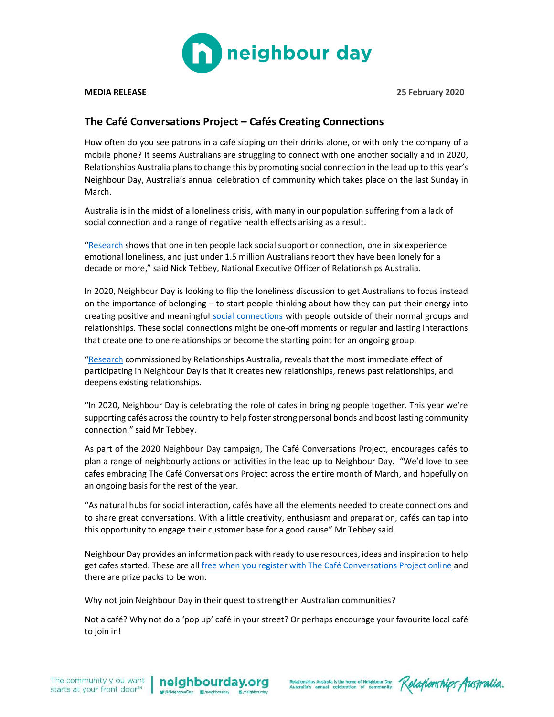

MEDIA RELEASE 25 February 2020

## The Café Conversations Project – Cafés Creating Connections

How often do you see patrons in a café sipping on their drinks alone, or with only the company of a mobile phone? It seems Australians are struggling to connect with one another socially and in 2020, Relationships Australia plans to change this by promoting social connection in the lead up to this year's Neighbour Day, Australia's annual celebration of community which takes place on the last Sunday in March.

Australia is in the midst of a loneliness crisis, with many in our population suffering from a lack of social connection and a range of negative health effects arising as a result.

"Research shows that one in ten people lack social support or connection, one in six experience emotional loneliness, and just under 1.5 million Australians report they have been lonely for a decade or more," said Nick Tebbey, National Executive Officer of Relationships Australia.

In 2020, Neighbour Day is looking to flip the loneliness discussion to get Australians to focus instead on the importance of belonging – to start people thinking about how they can put their energy into creating positive and meaningful social connections with people outside of their normal groups and relationships. These social connections might be one-off moments or regular and lasting interactions that create one to one relationships or become the starting point for an ongoing group.

"Research commissioned by Relationships Australia, reveals that the most immediate effect of participating in Neighbour Day is that it creates new relationships, renews past relationships, and deepens existing relationships.

"In 2020, Neighbour Day is celebrating the role of cafes in bringing people together. This year we're supporting cafés across the country to help foster strong personal bonds and boost lasting community connection." said Mr Tebbey.

As part of the 2020 Neighbour Day campaign, The Café Conversations Project, encourages cafés to plan a range of neighbourly actions or activities in the lead up to Neighbour Day. "We'd love to see cafes embracing The Café Conversations Project across the entire month of March, and hopefully on an ongoing basis for the rest of the year.

"As natural hubs for social interaction, cafés have all the elements needed to create connections and to share great conversations. With a little creativity, enthusiasm and preparation, cafés can tap into this opportunity to engage their customer base for a good cause" Mr Tebbey said.

Neighbour Day provides an information pack with ready to use resources, ideas and inspiration to help get cafes started. These are all free when you register with The Café Conversations Project online and there are prize packs to be won.

Why not join Neighbour Day in their quest to strengthen Australian communities?

Not a café? Why not do a 'pop up' café in your street? Or perhaps encourage your favourite local café to join in!